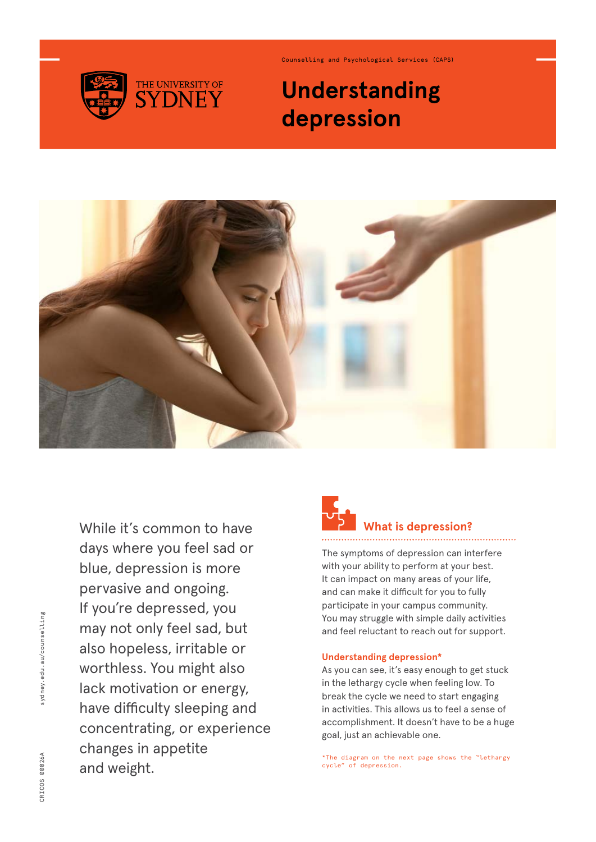

Counselling and Psychological Services (CAPS)

## **Understanding depression**



While it's common to have days where you feel sad or blue, depression is more pervasive and ongoing. If you're depressed, you may not only feel sad, but also hopeless, irritable or worthless. You might also lack motivation or energy, have difficulty sleeping and concentrating, or experience changes in appetite and weight.

# **What is depression?**

The symptoms of depression can interfere with your ability to perform at your best. It can impact on many areas of your life, and can make it difficult for you to fully participate in your campus community. You may struggle with simple daily activities and feel reluctant to reach out for support.

#### **Understanding depression\***

As you can see, it's easy enough to get stuck in the lethargy cycle when feeling low. To break the cycle we need to start engaging in activities. This allows us to feel a sense of accomplishment. It doesn't have to be a huge goal, just an achievable one.

\*The diagram on the next page shows the "lethargy cycle" of depression.